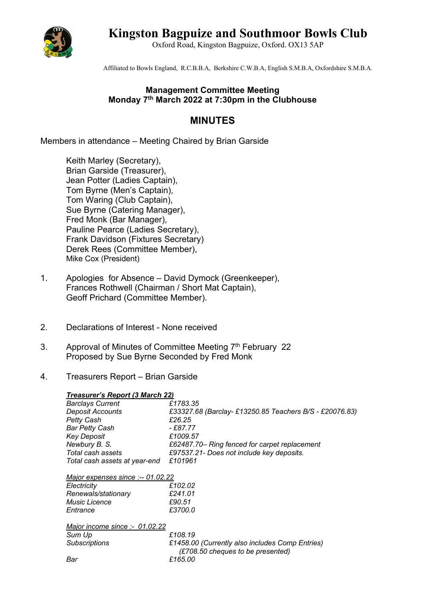

# **Kingston Bagpuize and Southmoor Bowls Club**

Oxford Road, Kingston Bagpuize, Oxford. OX13 5AP

Affiliated to Bowls England, R.C.B.B.A, Berkshire C.W.B.A, English S.M.B.A, Oxfordshire S.M.B.A.

### **Management Committee Meeting Monday 7th March 2022 at 7:30pm in the Clubhouse**

## **MINUTES**

Members in attendance – Meeting Chaired by Brian Garside

Keith Marley (Secretary), Brian Garside (Treasurer), Jean Potter (Ladies Captain), Tom Byrne (Men's Captain), Tom Waring (Club Captain), Sue Byrne (Catering Manager), Fred Monk (Bar Manager), Pauline Pearce (Ladies Secretary), Frank Davidson (Fixtures Secretary) Derek Rees (Committee Member), Mike Cox (President)

- 1. Apologies for Absence David Dymock (Greenkeeper), Frances Rothwell (Chairman / Short Mat Captain), Geoff Prichard (Committee Member).
- 2. Declarations of Interest None received
- 3. Approval of Minutes of Committee Meeting  $7<sup>th</sup>$  February 22 Proposed by Sue Byrne Seconded by Fred Monk
- 4. Treasurers Report Brian Garside

#### *Treasurer's Report (3 March 22)*

| <b>Barclays Current</b>           | £1783.35                                               |
|-----------------------------------|--------------------------------------------------------|
| Deposit Accounts                  | £33327.68 (Barclay-£13250.85 Teachers B/S - £20076.83) |
| <b>Petty Cash</b>                 | £26.25                                                 |
| <b>Bar Petty Cash</b>             | - £87.77                                               |
| <b>Key Deposit</b>                | £1009.57                                               |
| Newbury B. S.                     | £62487.70– Ring fenced for carpet replacement          |
| Total cash assets                 | £97537.21- Does not include key deposits.              |
| Total cash assets at year-end     | £101961                                                |
| Major expenses since :-- 01.02.22 |                                                        |
| Electricity                       | £102.02                                                |
| Renewals/stationary               | £241.01                                                |
| <b>Music Licence</b>              | £90.51                                                 |

*Major income since :- 01.02.22*

*Entrance £3700.0*

| Sum Up        | £108.19                                         |
|---------------|-------------------------------------------------|
| Subscriptions | £1458.00 (Currently also includes Comp Entries) |
|               | (£708.50 cheques to be presented)               |
| Bar           | £165.00                                         |